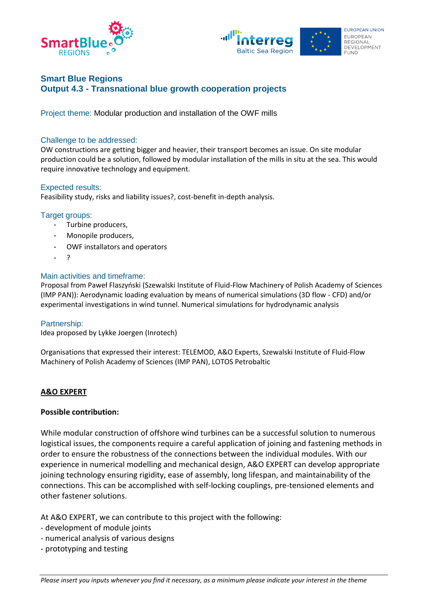



# **Smart Blue Regions Output 4.3 - Transnational blue growth cooperation projects**

Project theme: Modular production and installation of the OWF mills

## Challenge to be addressed:

OW constructions are getting bigger and heavier, their transport becomes an issue. On site modular production could be a solution, followed by modular installation of the mills in situ at the sea. This would require innovative technology and equipment.

#### Expected results:

Feasibility study, risks and liability issues?, cost-benefit in-depth analysis.

#### Target groups:

- Turbine producers,
- Monopile producers.
- OWF installators and operators
- ?

#### Main activities and timeframe:

Proposal from Paweł Flaszyński (Szewalski Institute of Fluid-Flow Machinery of Polish Academy of Sciences (IMP PAN)): Aerodynamic loading evaluation by means of numerical simulations (3D flow - CFD) and/or experimental investigations in wind tunnel. Numerical simulations for hydrodynamic analysis

## Partnership:

Idea proposed by Lykke Joergen (Inrotech)

Organisations that expressed their interest: TELEMOD, A&O Experts, Szewalski Institute of Fluid-Flow Machinery of Polish Academy of Sciences (IMP PAN), LOTOS Petrobaltic

## **A&O EXPERT**

#### **Possible contribution:**

While modular construction of offshore wind turbines can be a successful solution to numerous logistical issues, the components require a careful application of joining and fastening methods in order to ensure the robustness of the connections between the individual modules. With our experience in numerical modelling and mechanical design, A&O EXPERT can develop appropriate joining technology ensuring rigidity, ease of assembly, long lifespan, and maintainability of the connections. This can be accomplished with self-locking couplings, pre-tensioned elements and other fastener solutions.

At A&O EXPERT, we can contribute to this project with the following:

- development of module joints
- numerical analysis of various designs
- prototyping and testing